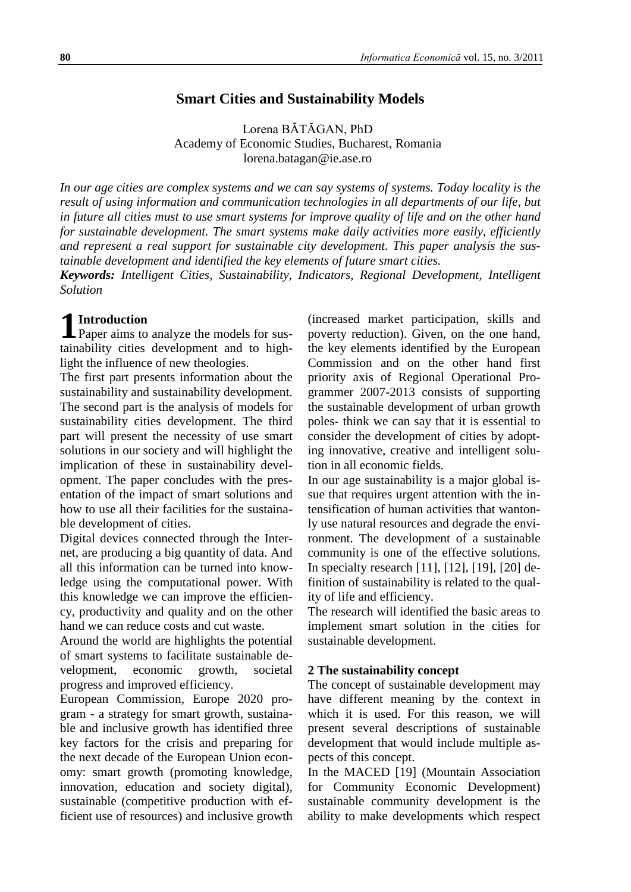## **Smart Cities and Sustainability Models**

Lorena BĂTĂGAN, PhD Academy of Economic Studies, Bucharest, Romania lorena.batagan@ie.ase.ro

*In our age cities are complex systems and we can say systems of systems. Today locality is the result of using information and communication technologies in all departments of our life, but in future all cities must to use smart systems for improve quality of life and on the other hand for sustainable development. The smart systems make daily activities more easily, efficiently and represent a real support for sustainable city development. This paper analysis the sustainable development and identified the key elements of future smart cities.* 

*Keywords: Intelligent Cities, Sustainability, Indicators, Regional Development, Intelligent Solution*

## **Introduction**

**1** Introduction<br>Paper aims to analyze the models for sustainability cities development and to highlight the influence of new theologies.

The first part presents information about the sustainability and sustainability development. The second part is the analysis of models for sustainability cities development. The third part will present the necessity of use smart solutions in our society and will highlight the implication of these in sustainability development. The paper concludes with the presentation of the impact of smart solutions and how to use all their facilities for the sustainable development of cities.

Digital devices connected through the Internet, are producing a big quantity of data. And all this information can be turned into knowledge using the computational power. With this knowledge we can improve the efficiency, productivity and quality and on the other hand we can reduce costs and cut waste.

Around the world are highlights the potential of smart systems to facilitate sustainable development, economic growth, societal progress and improved efficiency.

European Commission, Europe 2020 program - a strategy for smart growth, sustainable and inclusive growth has identified three key factors for the crisis and preparing for the next decade of the European Union economy: smart growth (promoting knowledge, innovation, education and society digital), sustainable (competitive production with efficient use of resources) and inclusive growth

(increased market participation, skills and poverty reduction). Given, on the one hand, the key elements identified by the European Commission and on the other hand first priority axis of Regional Operational Programmer 2007-2013 consists of supporting the sustainable development of urban growth poles- think we can say that it is essential to consider the development of cities by adopting innovative, creative and intelligent solution in all economic fields.

In our age sustainability is a major global issue that requires urgent attention with the intensification of human activities that wantonly use natural resources and degrade the environment. The development of a sustainable community is one of the effective solutions. In specialty research [11], [12], [19], [20] definition of sustainability is related to the quality of life and efficiency.

The research will identified the basic areas to implement smart solution in the cities for sustainable development.

#### **2 The sustainability concept**

The concept of sustainable development may have different meaning by the context in which it is used. For this reason, we will present several descriptions of sustainable development that would include multiple aspects of this concept.

In the MACED [19] (Mountain Association for Community Economic Development) sustainable community development is the ability to make developments which respect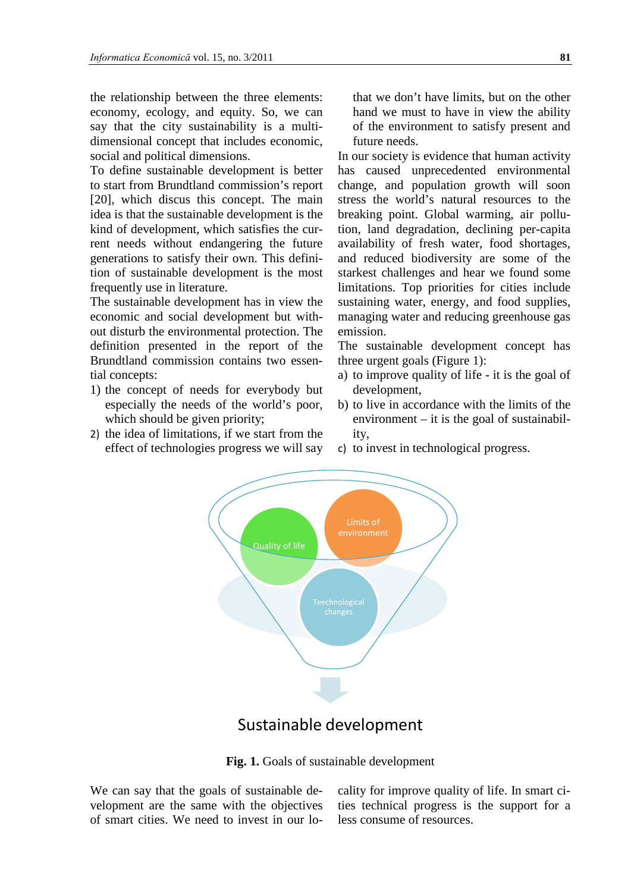the relationship between the three elements: economy, ecology, and equity. So, we can say that the city sustainability is a multidimensional concept that includes economic, social and political dimensions.

To define sustainable development is better to start from Brundtland commission's report [20], which discus this concept. The main idea is that the sustainable development is the kind of development, which satisfies the current needs without endangering the future generations to satisfy their own. This definition of sustainable development is the most frequently use in literature.

The sustainable development has in view the economic and social development but without disturb the environmental protection. The definition presented in the report of the Brundtland commission contains two essential concepts:

- 1) the concept of needs for everybody but especially the needs of the world's poor, which should be given priority;
- 2) the idea of limitations, if we start from the effect of technologies progress we will say

that we don't have limits, but on the other hand we must to have in view the ability of the environment to satisfy present and future needs.

In our society is evidence that human activity has caused unprecedented environmental change, and population growth will soon stress the world's natural resources to the breaking point. Global warming, air pollution, land degradation, declining per-capita availability of fresh water, food shortages, and reduced biodiversity are some of the starkest challenges and hear we found some limitations. Top priorities for cities include sustaining water, energy, and food supplies, managing water and reducing greenhouse gas emission.

The sustainable development concept has three urgent goals (Figure 1):

- a) to improve quality of life it is the goal of development,
- b) to live in accordance with the limits of the environment – it is the goal of sustainability,
- c) to invest in technological progress.



# Sustainable development

**Fig. 1.** Goals of sustainable development

We can say that the goals of sustainable development are the same with the objectives of smart cities. We need to invest in our lo-

cality for improve quality of life. In smart cities technical progress is the support for a less consume of resources.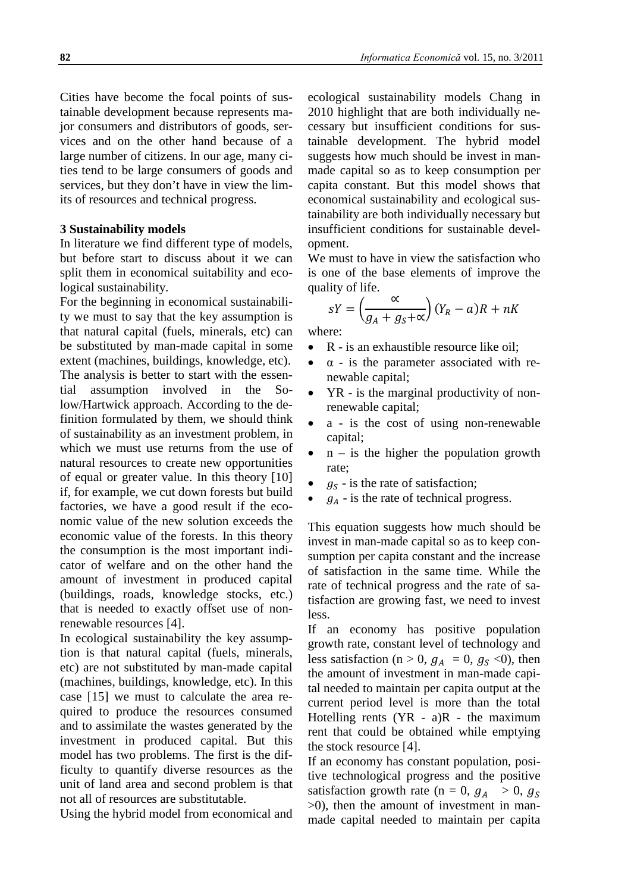Cities have become the focal points of sustainable development because represents major consumers and distributors of goods, services and on the other hand because of a large number of citizens. In our age, many cities tend to be large consumers of goods and services, but they don't have in view the limits of resources and technical progress.

#### **3 Sustainability models**

In literature we find different type of models, but before start to discuss about it we can split them in economical suitability and ecological sustainability.

For the beginning in economical sustainability we must to say that the key assumption is that natural capital (fuels, minerals, etc) can be substituted by man-made capital in some extent (machines, buildings, knowledge, etc). The analysis is better to start with the essential assumption involved in the Solow/Hartwick approach. According to the definition formulated by them, we should think of sustainability as an investment problem, in which we must use returns from the use of natural resources to create new opportunities of equal or greater value. In this theory [10] if, for example, we cut down forests but build factories, we have a good result if the economic value of the new solution exceeds the economic value of the forests. In this theory the consumption is the most important indicator of welfare and on the other hand the amount of investment in produced capital (buildings, roads, knowledge stocks, etc.) that is needed to exactly offset use of nonrenewable resources [4].

In ecological sustainability the key assumption is that natural capital (fuels, minerals, etc) are not substituted by man-made capital (machines, buildings, knowledge, etc). In this case [15] we must to calculate the area required to produce the resources consumed and to assimilate the wastes generated by the investment in produced capital. But this model has two problems. The first is the difficulty to quantify diverse resources as the unit of land area and second problem is that not all of resources are substitutable.

Using the hybrid model from economical and

ecological sustainability models Chang in 2010 highlight that are both individually necessary but insufficient conditions for sustainable development. The hybrid model suggests how much should be invest in manmade capital so as to keep consumption per capita constant. But this model shows that economical sustainability and ecological sustainability are both individually necessary but insufficient conditions for sustainable development.

We must to have in view the satisfaction who is one of the base elements of improve the quality of life.

$$
sY = \left(\frac{\alpha}{g_A + g_S + \alpha}\right)(Y_R - a)R + nK
$$

where:

R - is an exhaustible resource like oil;

- $\bullet$   $\alpha$  is the parameter associated with renewable capital;
- YR is the marginal productivity of nonrenewable capital;
- a is the cost of using non-renewable capital;
- $n is$  the higher the population growth rate;
- $g<sub>s</sub>$  is the rate of satisfaction;
- $g_A$  is the rate of technical progress.

This equation suggests how much should be invest in man-made capital so as to keep consumption per capita constant and the increase of satisfaction in the same time. While the rate of technical progress and the rate of satisfaction are growing fast, we need to invest less.

If an economy has positive population growth rate, constant level of technology and less satisfaction (n > 0,  $g_A = 0$ ,  $g_S < 0$ ), then the amount of investment in man-made capital needed to maintain per capita output at the current period level is more than the total Hotelling rents  $(YR - a)R -$  the maximum rent that could be obtained while emptying the stock resource [4].

If an economy has constant population, positive technological progress and the positive satisfaction growth rate (n = 0,  $g_A > 0$ ,  $g_S$ >0), then the amount of investment in manmade capital needed to maintain per capita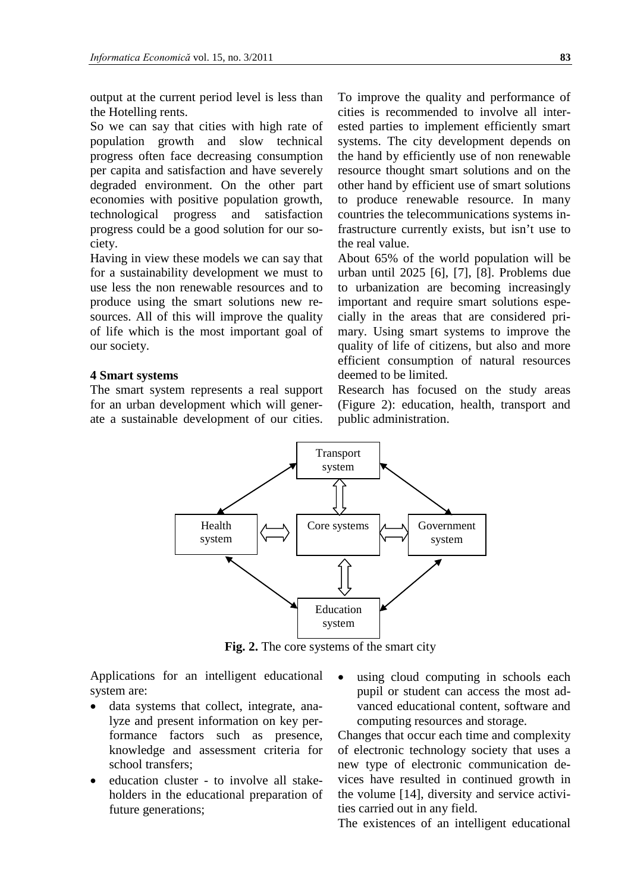output at the current period level is less than the Hotelling rents.

So we can say that cities with high rate of population growth and slow technical progress often face decreasing consumption per capita and satisfaction and have severely degraded environment. On the other part economies with positive population growth, technological progress and satisfaction progress could be a good solution for our society.

Having in view these models we can say that for a sustainability development we must to use less the non renewable resources and to produce using the smart solutions new resources. All of this will improve the quality of life which is the most important goal of our society.

### **4 Smart systems**

The smart system represents a real support for an urban development which will generate a sustainable development of our cities. To improve the quality and performance of cities is recommended to involve all interested parties to implement efficiently smart systems. The city development depends on the hand by efficiently use of non renewable resource thought smart solutions and on the other hand by efficient use of smart solutions to produce renewable resource. In many countries the telecommunications systems infrastructure currently exists, but isn't use to the real value.

About 65% of the world population will be urban until 2025 [6], [7], [8]. Problems due to urbanization are becoming increasingly important and require smart solutions especially in the areas that are considered primary. Using smart systems to improve the quality of life of citizens, but also and more efficient consumption of natural resources deemed to be limited.

Research has focused on the study areas (Figure 2): education, health, transport and public administration.



**Fig. 2.** The core systems of the smart city

Applications for an intelligent educational system are:

- data systems that collect, integrate, analyze and present information on key performance factors such as presence, knowledge and assessment criteria for school transfers;
- education cluster to involve all stakeholders in the educational preparation of future generations;
- using cloud computing in schools each pupil or student can access the most advanced educational content, software and computing resources and storage.

Changes that occur each time and complexity of electronic technology society that uses a new type of electronic communication devices have resulted in continued growth in the volume [14], diversity and service activities carried out in any field.

The existences of an intelligent educational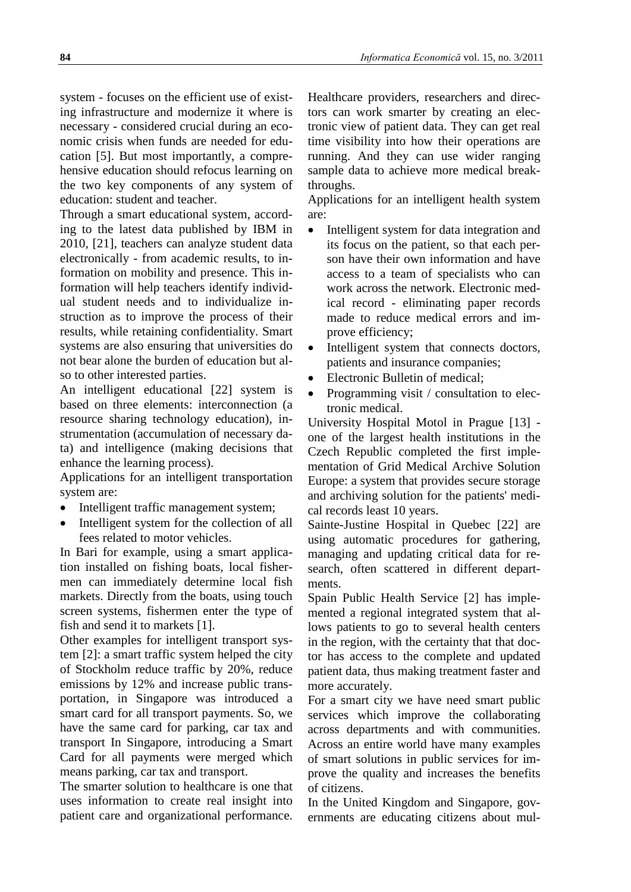system - focuses on the efficient use of existing infrastructure and modernize it where is necessary - considered crucial during an economic crisis when funds are needed for education [5]. But most importantly, a comprehensive education should refocus learning on the two key components of any system of education: student and teacher.

Through a smart educational system, according to the latest data published by IBM in 2010, [21], teachers can analyze student data electronically - from academic results, to information on mobility and presence. This information will help teachers identify individual student needs and to individualize instruction as to improve the process of their results, while retaining confidentiality. Smart systems are also ensuring that universities do not bear alone the burden of education but also to other interested parties.

An intelligent educational [22] system is based on three elements: interconnection (a resource sharing technology education), instrumentation (accumulation of necessary data) and intelligence (making decisions that enhance the learning process).

Applications for an intelligent transportation system are:

- Intelligent traffic management system;
- Intelligent system for the collection of all fees related to motor vehicles.

In Bari for example, using a smart application installed on fishing boats, local fishermen can immediately determine local fish markets. Directly from the boats, using touch screen systems, fishermen enter the type of fish and send it to markets [1].

Other examples for intelligent transport system [2]: a smart traffic system helped the city of Stockholm reduce traffic by 20%, reduce emissions by 12% and increase public transportation, in Singapore was introduced a smart card for all transport payments. So, we have the same card for parking, car tax and transport In Singapore, introducing a Smart Card for all payments were merged which means parking, car tax and transport.

The smarter solution to healthcare is one that uses information to create real insight into patient care and organizational performance.

Healthcare providers, researchers and directors can work smarter by creating an electronic view of patient data. They can get real time visibility into how their operations are running. And they can use wider ranging sample data to achieve more medical breakthroughs.

Applications for an intelligent health system are:

- Intelligent system for data integration and its focus on the patient, so that each person have their own information and have access to a team of specialists who can work across the network. Electronic medical record - eliminating paper records made to reduce medical errors and improve efficiency;
- Intelligent system that connects doctors, patients and insurance companies;
- Electronic Bulletin of medical;
- Programming visit / consultation to electronic medical.

University Hospital Motol in Prague [13] one of the largest health institutions in the Czech Republic completed the first implementation of Grid Medical Archive Solution Europe: a system that provides secure storage and archiving solution for the patients' medical records least 10 years.

Sainte-Justine Hospital in Quebec [22] are using automatic procedures for gathering, managing and updating critical data for research, often scattered in different departments.

Spain Public Health Service [2] has implemented a regional integrated system that allows patients to go to several health centers in the region, with the certainty that that doctor has access to the complete and updated patient data, thus making treatment faster and more accurately.

For a smart city we have need smart public services which improve the collaborating across departments and with communities. Across an entire world have many examples of smart solutions in public services for improve the quality and increases the benefits of citizens.

In the United Kingdom and Singapore, governments are educating citizens about mul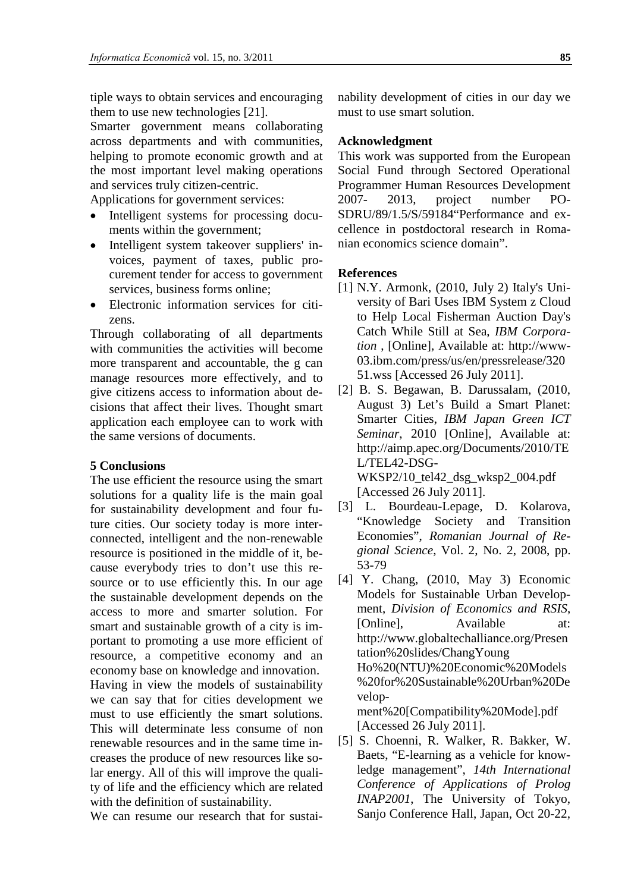tiple ways to obtain services and encouraging them to use new technologies [21].

Smarter government means collaborating across departments and with communities, helping to promote economic growth and at the most important level making operations and services truly citizen-centric.

Applications for government services:

- Intelligent systems for processing documents within the government;
- Intelligent system takeover suppliers' invoices, payment of taxes, public procurement tender for access to government services, business forms online;
- Electronic information services for citizens.

Through collaborating of all departments with communities the activities will become more transparent and accountable, the g can manage resources more effectively, and to give citizens access to information about decisions that affect their lives. Thought smart application each employee can to work with the same versions of documents.

#### **5 Conclusions**

The use efficient the resource using the smart solutions for a quality life is the main goal for sustainability development and four future cities. Our society today is more interconnected, intelligent and the non-renewable resource is positioned in the middle of it, because everybody tries to don't use this resource or to use efficiently this. In our age the sustainable development depends on the access to more and smarter solution. For smart and sustainable growth of a city is important to promoting a use more efficient of resource, a competitive economy and an economy base on knowledge and innovation. Having in view the models of sustainability we can say that for cities development we must to use efficiently the smart solutions. This will determinate less consume of non renewable resources and in the same time increases the produce of new resources like solar energy. All of this will improve the quality of life and the efficiency which are related with the definition of sustainability.

We can resume our research that for sustai-

nability development of cities in our day we must to use smart solution.

#### **Acknowledgment**

This work was supported from the European Social Fund through Sectored Operational Programmer Human Resources Development 2007- 2013, project number PO-SDRU/89/1.5/S/59184"Performance and excellence in postdoctoral research in Romanian economics science domain".

#### **References**

- [1] N.Y. Armonk, (2010, July 2) Italy's University of Bari Uses IBM System z Cloud to Help Local Fisherman Auction Day's Catch While Still at Sea, *IBM Corporation* , [Online], Available at: http://www-03.ibm.com/press/us/en/pressrelease/320 51.wss [Accessed 26 July 2011].
- [2] B. S. Begawan, B. Darussalam, (2010, August 3) Let's Build a Smart Planet: Smarter Cities, *IBM Japan Green ICT Seminar*, 2010 [Online], Available at: http://aimp.apec.org/Documents/2010/TE L/TEL42-DSG-WKSP2/10\_tel42\_dsg\_wksp2\_004.pdf

[Accessed 26 July 2011].

- [3] L. Bourdeau-Lepage, D. Kolarova, "Knowledge Society and Transition Economies", *Romanian Journal of Regional Science*, Vol. 2, No. 2, 2008, pp. 53-79
- [4] Y. Chang, (2010, May 3) Economic Models for Sustainable Urban Development, *Division of Economics and RSIS*, [Online], Available at: http://www.globaltechalliance.org/Presen tation%20slides/ChangYoung Ho%20(NTU)%20Economic%20Models %20for%20Sustainable%20Urban%20De velopment%20[Compatibility%20Mode].pdf [Accessed 26 July 2011].
- [5] S. Choenni, R. Walker, R. Bakker, W. Baets, "E-learning as a vehicle for knowledge management", *14th International Conference of Applications of Prolog INAP2001*, The University of Tokyo, Sanjo Conference Hall, Japan, Oct 20-22,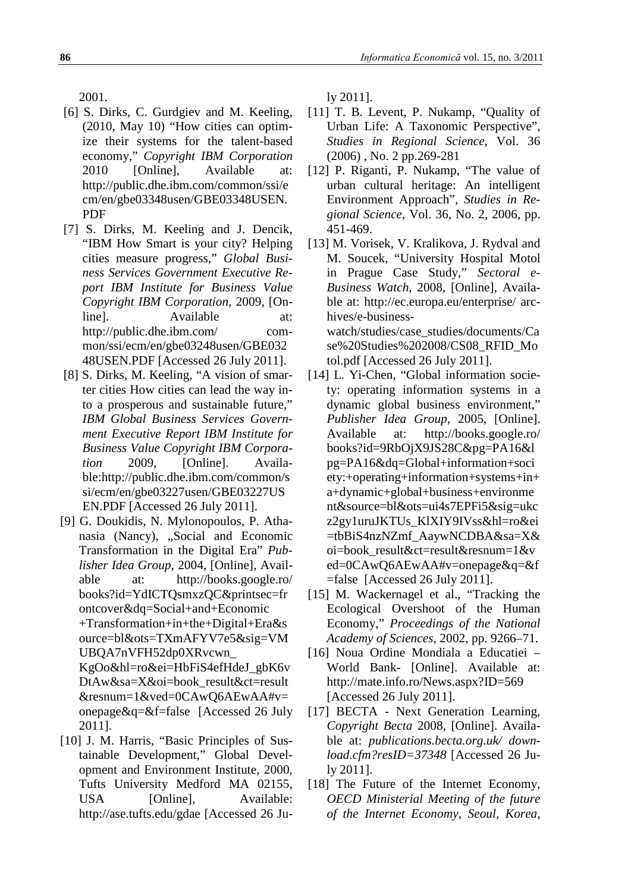2001.

- [6] S. Dirks, C. Gurdgiev and M. Keeling, (2010, May 10) "How cities can optimize their systems for the talent-based economy," *Copyright IBM Corporation* 2010 [Online], Available at: http://public.dhe.ibm.com/common/ssi/e cm/en/gbe03348usen/GBE03348USEN. PDF
- [7] S. Dirks, M. Keeling and J. Dencik, "IBM How Smart is your city? Helping cities measure progress," *Global Business Services Government Executive Report IBM Institute for Business Value Copyright IBM Corporation*, 2009, [Online]. Available at: http://public.dhe.ibm.com/ common/ssi/ecm/en/gbe03248usen/GBE032 48USEN.PDF [Accessed 26 July 2011].
- [8] S. Dirks, M. Keeling, "A vision of smarter cities How cities can lead the way into a prosperous and sustainable future," *IBM Global Business Services Government Executive Report IBM Institute for Business Value Copyright IBM Corporation* 2009, [Online]. Available:http://public.dhe.ibm.com/common/s si/ecm/en/gbe03227usen/GBE03227US EN.PDF [Accessed 26 July 2011].
- [9] G. Doukidis, N. Mylonopoulos, P. Athanasia (Nancy), "Social and Economic Transformation in the Digital Era" *Publisher Idea Group*, 2004, [Online], Available at: http://books.google.ro/ books?id=YdICTQsmxzQC&printsec=fr ontcover&dq=Social+and+Economic +Transformation+in+the+Digital+Era&s ource=bl&ots=TXmAFYV7e5&sig=VM UBQA7nVFH52dp0XRvcwn\_ KgOo&hl=ro&ei=HbFiS4efHdeJ\_gbK6v DtAw&sa=X&oi=book\_result&ct=result &resnum=1&ved=0CAwQ6AEwAA#v= onepage&q=&f=false [Accessed 26 July 2011].
- [10] J. M. Harris, "Basic Principles of Sustainable Development," Global Development and Environment Institute, 2000, Tufts University Medford MA 02155, USA [Online], Available: http://ase.tufts.edu/gdae [Accessed 26 Ju-

ly 2011].

- [11] T. B. Levent, P. Nukamp, "Quality of Urban Life: A Taxonomic Perspective", *Studies in Regional Science*, Vol. 36 (2006) , No. 2 pp.269-281
- [12] P. Riganti, P. Nukamp, "The value of urban cultural heritage: An intelligent Environment Approach", *Studies in Regional Science*, Vol. 36, No. 2, 2006, pp. 451-469.
- [13] M. Vorisek, V. Kralikova, J. Rydval and M. Soucek, "University Hospital Motol in Prague Case Study," *Sectoral e-Business Watch*, 2008, [Online], Available at: http://ec.europa.eu/enterprise/ archives/e-businesswatch/studies/case\_studies/documents/Ca se%20Studies%202008/CS08\_RFID\_Mo

tol.pdf [Accessed 26 July 2011].

- [14] L. Yi-Chen, "Global information society: operating information systems in a dynamic global business environment," *Publisher Idea Group*, 2005, [Online]. Available at: http://books.google.ro/ books?id=9RbOjX9JS28C&pg=PA16&l pg=PA16&dq=Global+information+soci ety:+operating+information+systems+in+ a+dynamic+global+business+environme nt&source=bl&ots=ui4s7EPFi5&sig=ukc z2gy1uruJKTUs\_KlXIY9IVss&hl=ro&ei =tbBiS4nzNZmf\_AaywNCDBA&sa=X& oi=book\_result&ct=result&resnum=1&v ed=0CAwQ6AEwAA#v=onepage&q=&f =false [Accessed 26 July 2011].
- [15] M. Wackernagel et al., "Tracking the Ecological Overshoot of the Human Economy," *Proceedings of the National Academy of Sciences*, 2002, pp. 9266–71.
- [16] Noua Ordine Mondiala a Educatiei World Bank- [Online]. Available at: http://mate.info.ro/News.aspx?ID=569 [Accessed 26 July 2011].
- [17] BECTA Next Generation Learning, *Copyright Becta* 2008, [Online]. Available at: *publications.becta.org.uk/ download.cfm?resID=37348* [Accessed 26 July 2011].
- [18] The Future of the Internet Economy, *OECD Ministerial Meeting of the future of the Internet Economy, Seoul, Korea*,